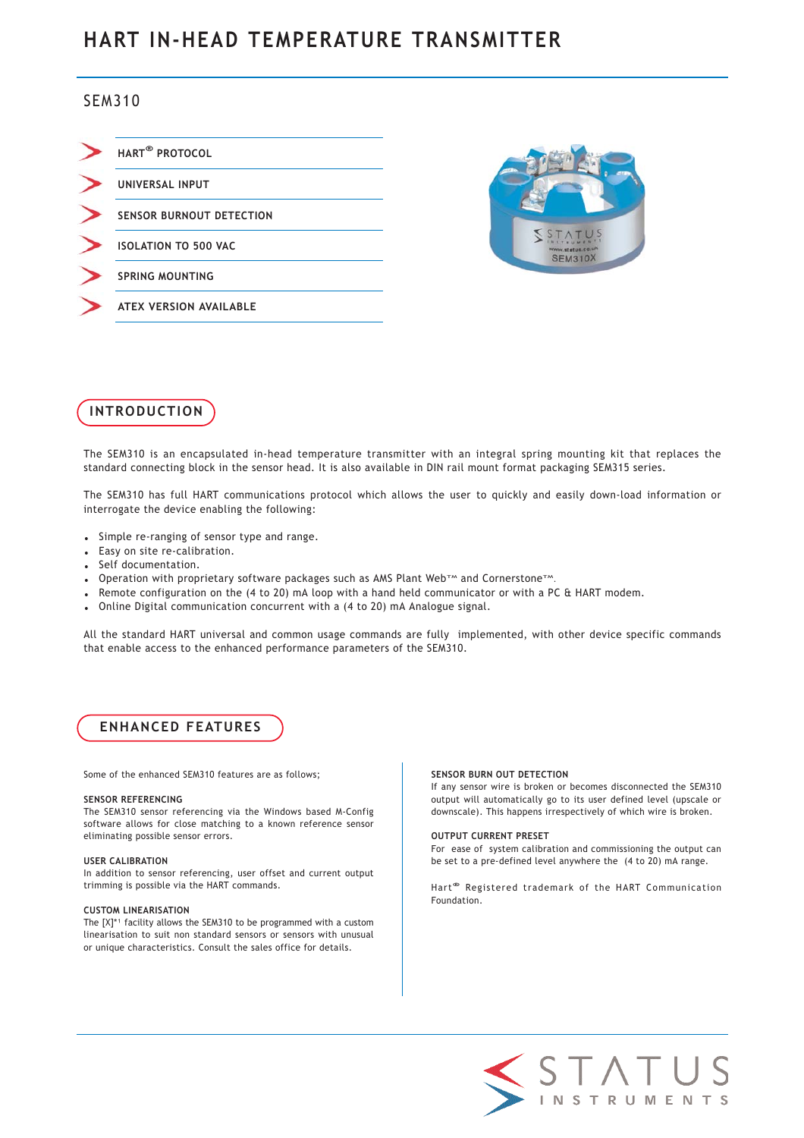# **HART IN-HEAD TEMPERATURE TRANSMITTER**

# SEM310

| HART <sup>®</sup> PROTOCOL      |
|---------------------------------|
| UNIVERSAL INPUT                 |
| <b>SENSOR BURNOUT DETECTION</b> |
| <b>ISOLATION TO 500 VAC</b>     |
| <b>SPRING MOUNTING</b>          |
| <b>ATEX VERSION AVAILABLE</b>   |





The SEM310 is an encapsulated in-head temperature transmitter with an integral spring mounting kit that replaces the standard connecting block in the sensor head. It is also available in DIN rail mount format packaging SEM315 series.

The SEM310 has full HART communications protocol which allows the user to quickly and easily down-load information or interrogate the device enabling the following:

- Simple re-ranging of sensor type and range.
- Easy on site re-calibration.
- Self documentation.
- Operation with proprietary software packages such as AMS Plant Web<sup>+</sup> and Cornerstone<sup>TM</sup>.
- Remote configuration on the (4 to 20) mA loop with a hand held communicator or with a PC & HART modem.
- Online Digital communication concurrent with a (4 to 20) mA Analogue signal.

All the standard HART universal and common usage commands are fully implemented, with other device specific commands that enable access to the enhanced performance parameters of the SEM310.

# **ENHANCED FEATURES**

Some of the enhanced SEM310 features are as follows;

#### **SENSOR REFERENCING**

The SEM310 sensor referencing via the Windows based M-Config software allows for close matching to a known reference sensor eliminating possible sensor errors.

#### **USER CALIBRATION**

In addition to sensor referencing, user offset and current output trimming is possible via the HART commands.

#### **CUSTOM LINEARISATION**

The  $[X]^{*1}$  facility allows the SEM310 to be programmed with a custom linearisation to suit non standard sensors or sensors with unusual or unique characteristics. Consult the sales office for details.

### **SENSOR BURN OUT DETECTION**

If any sensor wire is broken or becomes disconnected the SEM310 output will automatically go to its user defined level (upscale or downscale). This happens irrespectively of which wire is broken.

#### **OUTPUT CURRENT PRESET**

For ease of system calibration and commissioning the output can be set to a pre-defined level anywhere the (4 to 20) mA range.

Hart **®** Registered trademark of the HART Communication Foundation.

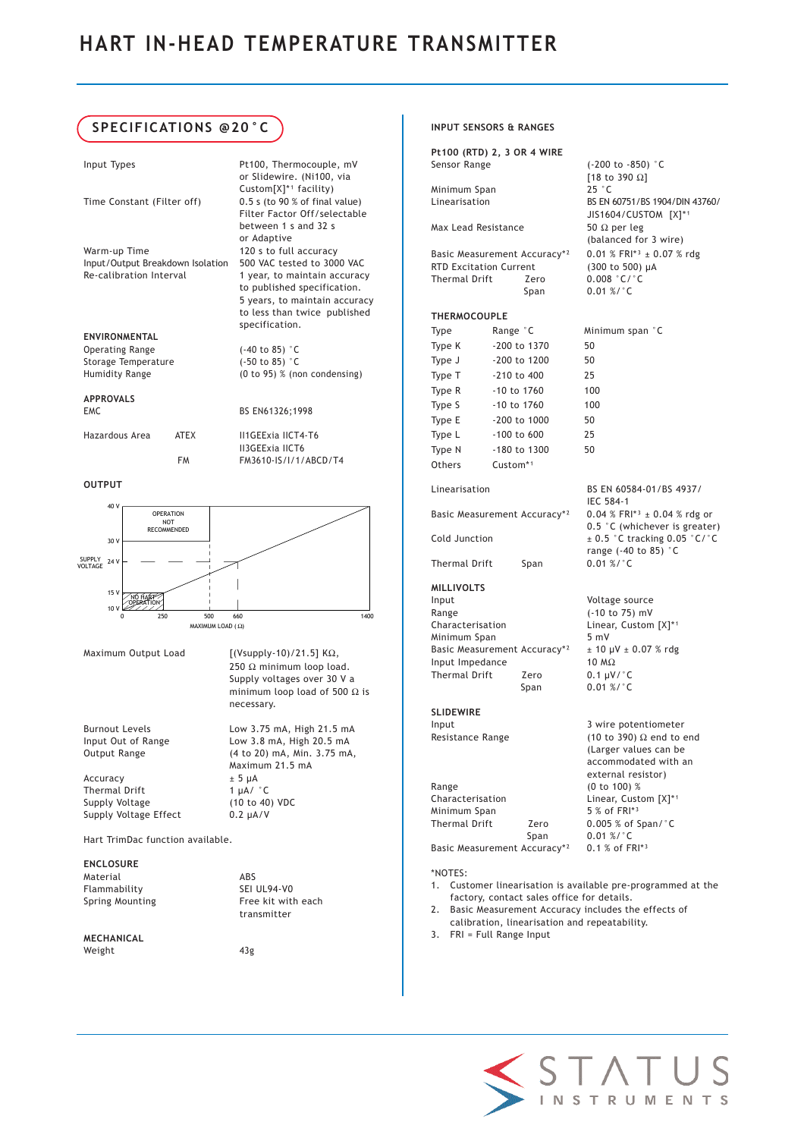# **SPECIFICATIONS @20°C**

| Input Types                      |             | Pt100, Thermocouple, mV              |
|----------------------------------|-------------|--------------------------------------|
|                                  |             |                                      |
|                                  |             | or Slidewire. (Ni100, via            |
|                                  |             | $Custom[X]^*$ <sup>1</sup> facility) |
| Time Constant (Filter off)       |             | $0.5$ s (to 90 % of final value)     |
|                                  |             | Filter Factor Off/selectable         |
|                                  |             | hetween $1 \times$ and $32 \times$   |
|                                  |             |                                      |
|                                  |             | or Adaptive                          |
| Warm-up Time                     |             | 120 s to full accuracy               |
| Input/Output Breakdown Isolation |             | 500 VAC tested to 3000 VAC           |
| Re-calibration Interval          |             | 1 year, to maintain accuracy         |
|                                  |             | to published specification.          |
|                                  |             | 5 years, to maintain accuracy        |
|                                  |             |                                      |
|                                  |             | to less than twice published         |
|                                  |             | specification.                       |
| <b>FNVIRONMENTAL</b>             |             |                                      |
| <b>Operating Range</b>           |             | $(-40 \text{ to } 85)$ °C            |
| Storage Temperature              |             | $(-50 \text{ to } 85)$ °C            |
| Humidity Range                   |             | $(0 to 95)$ % (non condensing)       |
|                                  |             |                                      |
| <b>APPROVALS</b>                 |             |                                      |
|                                  |             |                                      |
| <b>FMC</b>                       |             | BS EN61326;1998                      |
| Hazardous Area                   | <b>ATFX</b> | II1GFFxia IICT4-T6                   |
|                                  |             | <b>II3GEExia IICT6</b>               |
|                                  |             |                                      |

**OUTPUT**



FM FM3610-IS/I/1/ABCD/T4

250 Ω minimum loop load. Supply voltages over 30 V a minimum loop load of 500  $\Omega$  is

necessary.

Maximum 21.5 mA

transmitter

Maximum Output Load  $[(Vsupplv-10)/21.5]$  KΩ,

Burnout Levels Low 3.75 mA, High 21.5 mA Input Out of Range Low 3.8 mA, High 20.5 mA Output Range (4 to 20) mA, Min. 3.75 mA,

 $\text{Accuracy}$   $\pm 5 \, \mu\text{A}$ <br>Thermal Drift  $\text{1 }\mu\text{A}$   $\text{C}$ Thermal Drift Supply Voltage (10 to 40) VDC Supply Voltage Effect 0.2 µA/V

Hart TrimDac function available.

#### **ENCLOSURE**

Material ABS<br>Flammability SEI UL94-V0 Flammability Spring Mounting Free kit with each

#### **MECHANICAL** Weight 43g

**Pt100 (RTD) 2, 3 OR 4 WIRE** Sensor Range (-200 to -850) °C Minimum Span<br>Linearisation

**INPUT SENSORS & RANGES**

Max Lead Resistance 50  $\Omega$  per leg

Basic Measurement Accuracy\*<sup>2</sup> 0.01 % FRI\*<sup>3</sup>  $\pm$  0.07 % rdg RTD Excitation Current (300 to 500) µA RTD Excitation Current Thermal Drift Zero 0.008 °C/°C Span 0.01 %/°C

[18 to 390 Ω]

BS EN 60751/BS 1904/DIN 43760/ JIS1604/CUSTOM [X]\*1

(balanced for 3 wire)

Minimum span °C

IEC 584-1

0.5 °C (whichever is greater)

range (-40 to 85) °C

(Larger values can be accommodated with an

### **THERMOCOUPLE**

| Iype   | Range C         | Mın |
|--------|-----------------|-----|
| Type K | -200 to 1370    | 50  |
| Type J | $-200$ to 1200  | 50  |
| Type T | -210 to 400     | 25  |
| Type R | -10 to 1760     | 100 |
| Type S | $-10$ to $1760$ | 100 |
| Type E | -200 to 1000    | 50  |
| Type L | -100 to 600     | 25  |
| Type N | -180 to 1300    | 50  |
| Others | Custom*1        |     |

Linearisation BS EN 60584-01/BS 4937/

Basic Measurement Accuracy\*<sup>2</sup> 0.04 % FRI<sup>\*3</sup> ± 0.04 % rdg or

Cold Junction  $\pm 0.5$  °C tracking 0.05 °C/°C

Thermal Drift Span 0.01 %/°C

**MILLIVOLTS** Input Voltage source Range (-10 to 75) mV Characterisation Linear, Custom [X]\*1 Minimum Span 5 mV<br>Basic Measurement Accuracy\*<sup>2</sup>  $\pm$  10 µV  $\pm$  0.07 % rdg Basic Measurement Accuracy\*<sup>2</sup> Input Impedance 10 MΩ<br>Thermal Drift Zero 0.1 μV/°C Thermal Drift Span 0.01 %/°C

#### **SLIDEWIRE**  Input 3 wire potentiometer

Resistance Range (10 to 390)  $\Omega$  end to end

|                                          |                  | external resistor)             |
|------------------------------------------|------------------|--------------------------------|
| Range                                    |                  | (0 to 100) %                   |
| Characterisation                         |                  | Linear, Custom [X]*1           |
| Minimum Span                             |                  | 5 % of FRI*3                   |
| Thermal Drift                            | Zero             | $0.005$ % of Span/ $\degree$ C |
|                                          | Span             | $0.01 \%$ /°C                  |
| Basic Measurement Accuracy* <sup>2</sup> | $0.1 %$ of FRI*3 |                                |

#### \*NOTES:

- 1. Customer linearisation is available pre-programmed at the factory, contact sales office for details.
- 2. Basic Measurement Accuracy includes the effects of calibration, linearisation and repeatability.
- 3. FRI = Full Range Input

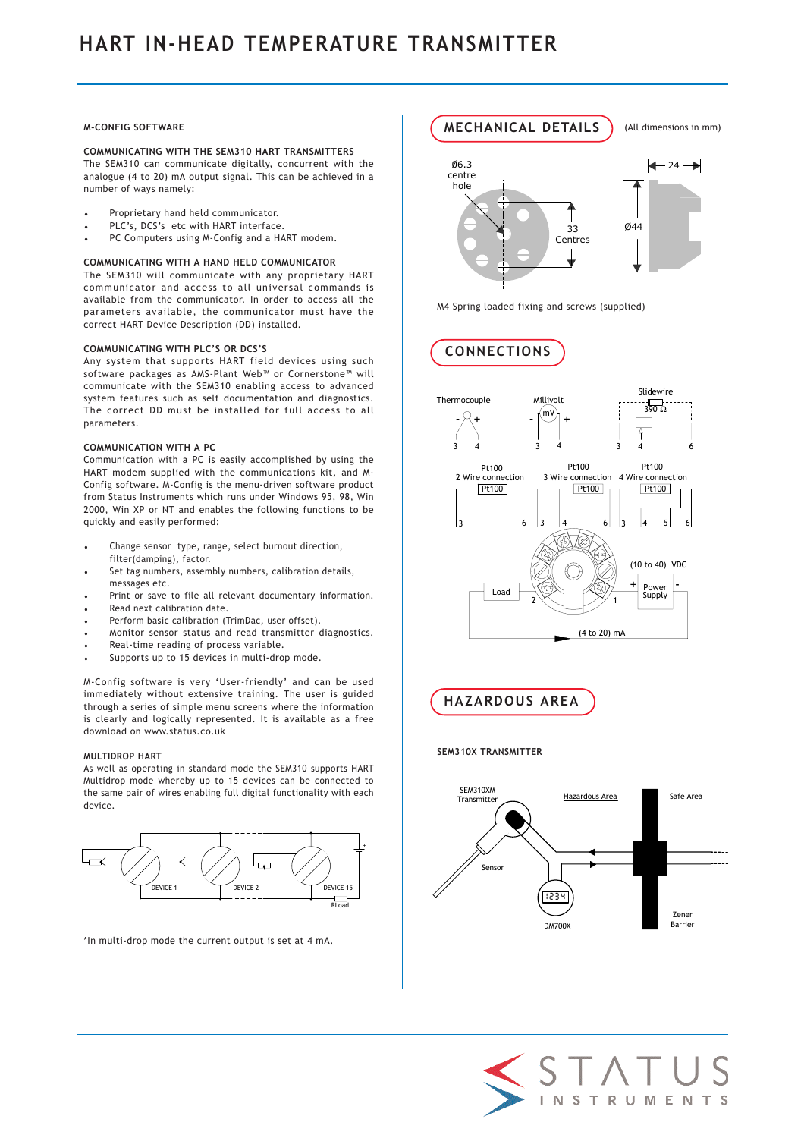#### **M-CONFIG SOFTWARE**

**COMMUNICATING WITH THE SEM310 HART TRANSMITTERS** The SEM310 can communicate digitally, concurrent with the analogue (4 to 20) mA output signal. This can be achieved in a number of ways namely:

- Proprietary hand held communicator.
- PLC's, DCS's etc with HART interface.
- PC Computers using M-Config and a HART modem.

#### **COMMUNICATING WITH A HAND HELD COMMUNICATOR**

The SEM310 will communicate with any proprietary HART communicator and access to all universal commands is available from the communicator. In order to access all the parameters available, the communicator must have the correct HART Device Description (DD) installed.

#### **COMMUNICATING WITH PLC'S OR DCS'S**

Any system that supports HART field devices using such software packages as AMS-Plant Web™ or Cornerstone™ will communicate with the SEM310 enabling access to advanced system features such as self documentation and diagnostics. The correct DD must be installed for full access to all parameters.

#### **COMMUNICATION WITH A PC**

Communication with a PC is easily accomplished by using the HART modem supplied with the communications kit, and M-Config software. M-Config is the menu-driven software product from Status Instruments which runs under Windows 95, 98, Win 2000, Win XP or NT and enables the following functions to be quickly and easily performed:

- Change sensor type, range, select burnout direction, filter(damping), factor.
- Set tag numbers, assembly numbers, calibration details, messages etc.
- Print or save to file all relevant documentary information.
- Read next calibration date.
- Perform basic calibration (TrimDac, user offset).
- Monitor sensor status and read transmitter diagnostics.
- Real-time reading of process variable.
- Supports up to 15 devices in multi-drop mode.

M-Config software is very 'User-friendly' and can be used immediately without extensive training. The user is guided through a series of simple menu screens where the information is clearly and logically represented. It is available as a free download on www.status.co.uk

#### **MULTIDROP HART**

As well as operating in standard mode the SEM310 supports HART Multidrop mode whereby up to 15 devices can be connected to the same pair of wires enabling full digital functionality with each device.



\*In multi-drop mode the current output is set at 4 mA.



(All dimensions in mm)

M4 Spring loaded fixing and screws (supplied)

**CONNECTIONS**

**MECHANICAL DETAILS**



**HAZARDOUS AREA** 

### **SEM310X TRANSMITTER**